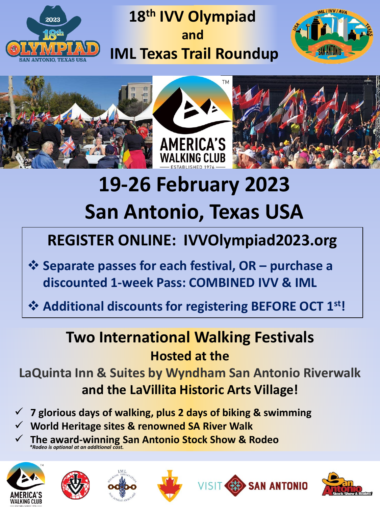

## **18th IVV Olympiad and IML Texas Trail Roundup**









# **19-26 February 2023 San Antonio, Texas USA**

# **REGISTER ONLINE: IVVOlympiad2023.org**

- ❖ **Separate passes for each festival, OR – purchase a discounted 1-week Pass: COMBINED IVV & IML**
- ❖ **Additional discounts for registering BEFORE OCT 1st!**

#### **Two International Walking Festivals Hosted at the**

**LaQuinta Inn & Suites by Wyndham San Antonio Riverwalk and the LaVillita Historic Arts Village!**

- ✓ **7 glorious days of walking, plus 2 days of biking & swimming**
- ✓ **World Heritage sites & renowned SA River Walk**
- ✓ **The award-winning San Antonio Stock Show & Rodeo** *\*Rodeo is optional at an additional cost.*